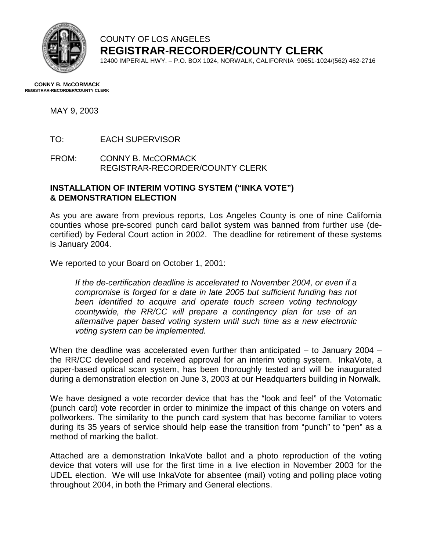

## COUNTY OF LOS ANGELES **REGISTRAR-RECORDER/COUNTY CLERK**

12400 IMPERIAL HWY. – P.O. BOX 1024, NORWALK, CALIFORNIA 90651-1024/(562) 462-2716

#### **CONNY B. McCORMACK REGISTRAR-RECORDER/COUNTY CLERK**

MAY 9, 2003

TO: EACH SUPERVISOR

FROM: CONNY B. McCORMACK REGISTRAR-RECORDER/COUNTY CLERK

#### **INSTALLATION OF INTERIM VOTING SYSTEM ("INKA VOTE") & DEMONSTRATION ELECTION**

As you are aware from previous reports, Los Angeles County is one of nine California counties whose pre-scored punch card ballot system was banned from further use (decertified) by Federal Court action in 2002. The deadline for retirement of these systems is January 2004.

We reported to your Board on October 1, 2001:

*If the de-certification deadline is accelerated to November 2004, or even if a compromise is forged for a date in late 2005 but sufficient funding has not been identified to acquire and operate touch screen voting technology countywide, the RR/CC will prepare a contingency plan for use of an alternative paper based voting system until such time as a new electronic voting system can be implemented.* 

When the deadline was accelerated even further than anticipated – to January 2004 – the RR/CC developed and received approval for an interim voting system. InkaVote, a paper-based optical scan system, has been thoroughly tested and will be inaugurated during a demonstration election on June 3, 2003 at our Headquarters building in Norwalk.

We have designed a vote recorder device that has the "look and feel" of the Votomatic (punch card) vote recorder in order to minimize the impact of this change on voters and pollworkers. The similarity to the punch card system that has become familiar to voters during its 35 years of service should help ease the transition from "punch" to "pen" as a method of marking the ballot.

Attached are a demonstration InkaVote ballot and a photo reproduction of the voting device that voters will use for the first time in a live election in November 2003 for the UDEL election. We will use InkaVote for absentee (mail) voting and polling place voting throughout 2004, in both the Primary and General elections.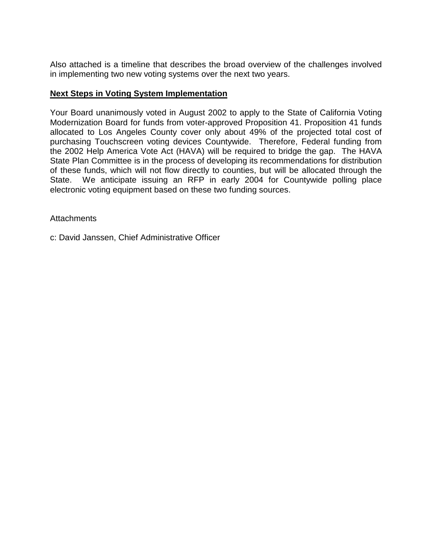Also attached is a timeline that describes the broad overview of the challenges involved in implementing two new voting systems over the next two years.

### **Next Steps in Voting System Implementation**

Your Board unanimously voted in August 2002 to apply to the State of California Voting Modernization Board for funds from voter-approved Proposition 41. Proposition 41 funds allocated to Los Angeles County cover only about 49% of the projected total cost of purchasing Touchscreen voting devices Countywide. Therefore, Federal funding from the 2002 Help America Vote Act (HAVA) will be required to bridge the gap. The HAVA State Plan Committee is in the process of developing its recommendations for distribution of these funds, which will not flow directly to counties, but will be allocated through the State. We anticipate issuing an RFP in early 2004 for Countywide polling place electronic voting equipment based on these two funding sources.

**Attachments** 

c: David Janssen, Chief Administrative Officer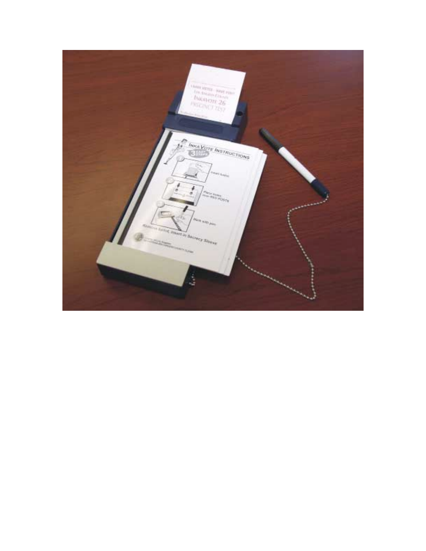